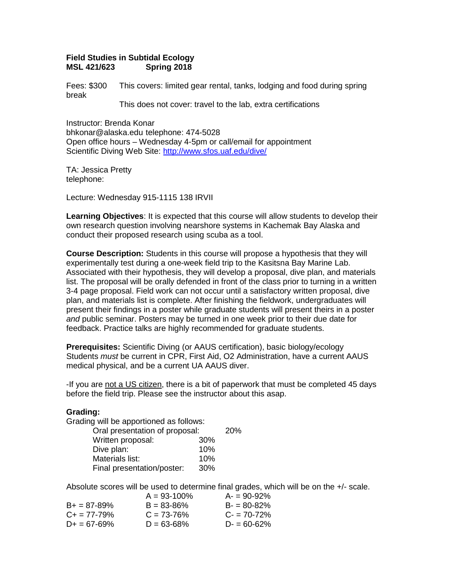## **Field Studies in Subtidal Ecology Spring 2018**

Fees: \$300 This covers: limited gear rental, tanks, lodging and food during spring break

This does not cover: travel to the lab, extra certifications

Instructor: Brenda Konar bhkonar@alaska.edu telephone: 474-5028 Open office hours – Wednesday 4-5pm or call/email for appointment Scientific Diving Web Site:<http://www.sfos.uaf.edu/dive/>

TA: Jessica Pretty telephone:

Lecture: Wednesday 915-1115 138 IRVII

**Learning Objectives**: It is expected that this course will allow students to develop their own research question involving nearshore systems in Kachemak Bay Alaska and conduct their proposed research using scuba as a tool.

**Course Description:** Students in this course will propose a hypothesis that they will experimentally test during a one-week field trip to the Kasitsna Bay Marine Lab. Associated with their hypothesis, they will develop a proposal, dive plan, and materials list. The proposal will be orally defended in front of the class prior to turning in a written 3-4 page proposal. Field work can not occur until a satisfactory written proposal, dive plan, and materials list is complete. After finishing the fieldwork, undergraduates will present their findings in a poster while graduate students will present theirs in a poster *and* public seminar. Posters may be turned in one week prior to their due date for feedback. Practice talks are highly recommended for graduate students.

**Prerequisites:** Scientific Diving (or AAUS certification), basic biology/ecology Students *must* be current in CPR, First Aid, O2 Administration, have a current AAUS medical physical, and be a current UA AAUS diver.

-If you are not a US citizen, there is a bit of paperwork that must be completed 45 days before the field trip. Please see the instructor about this asap.

# **Grading:**

Grading will be apportioned as follows:

| Oral presentation of proposal: |     |  |
|--------------------------------|-----|--|
| Written proposal:              | 30% |  |
| Dive plan:                     | 10% |  |
| Materials list:                | 10% |  |
| Final presentation/poster:     | 30% |  |

Absolute scores will be used to determine final grades, which will be on the +/- scale.

|                       | $A = 93 - 100\%$ | $A = 90 - 92%$  |
|-----------------------|------------------|-----------------|
| $B_{+} = 87 - 89\%$   | $B = 83 - 86%$   | $B = 80 - 82\%$ |
| $C_{\pm} = 77 - 79\%$ | $C = 73 - 76%$   | $C = 70 - 72\%$ |
| $D_{+} = 67 - 69\%$   | $D = 63 - 68%$   | $D = 60-62%$    |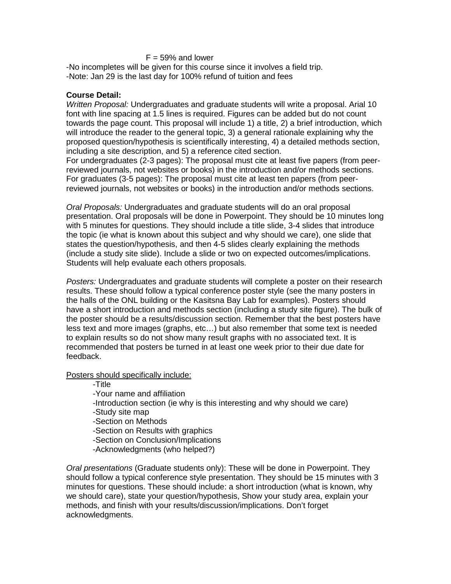# $F = 59\%$  and lower

-No incompletes will be given for this course since it involves a field trip. -Note: Jan 29 is the last day for 100% refund of tuition and fees

#### **Course Detail:**

*Written Proposal:* Undergraduates and graduate students will write a proposal. Arial 10 font with line spacing at 1.5 lines is required. Figures can be added but do not count towards the page count. This proposal will include 1) a title, 2) a brief introduction, which will introduce the reader to the general topic, 3) a general rationale explaining why the proposed question/hypothesis is scientifically interesting, 4) a detailed methods section, including a site description, and 5) a reference cited section.

For undergraduates (2-3 pages): The proposal must cite at least five papers (from peerreviewed journals, not websites or books) in the introduction and/or methods sections. For graduates (3-5 pages): The proposal must cite at least ten papers (from peerreviewed journals, not websites or books) in the introduction and/or methods sections.

*Oral Proposals:* Undergraduates and graduate students will do an oral proposal presentation. Oral proposals will be done in Powerpoint. They should be 10 minutes long with 5 minutes for questions. They should include a title slide, 3-4 slides that introduce the topic (ie what is known about this subject and why should we care), one slide that states the question/hypothesis, and then 4-5 slides clearly explaining the methods (include a study site slide). Include a slide or two on expected outcomes/implications. Students will help evaluate each others proposals.

*Posters:* Undergraduates and graduate students will complete a poster on their research results. These should follow a typical conference poster style (see the many posters in the halls of the ONL building or the Kasitsna Bay Lab for examples). Posters should have a short introduction and methods section (including a study site figure). The bulk of the poster should be a results/discussion section. Remember that the best posters have less text and more images (graphs, etc…) but also remember that some text is needed to explain results so do not show many result graphs with no associated text. It is recommended that posters be turned in at least one week prior to their due date for feedback.

## Posters should specifically include:

-Title

-Your name and affiliation

-Introduction section (ie why is this interesting and why should we care)

-Study site map

-Section on Methods

-Section on Results with graphics

-Section on Conclusion/Implications

-Acknowledgments (who helped?)

*Oral presentations* (Graduate students only): These will be done in Powerpoint. They should follow a typical conference style presentation. They should be 15 minutes with 3 minutes for questions. These should include: a short introduction (what is known, why we should care), state your question/hypothesis, Show your study area, explain your methods, and finish with your results/discussion/implications. Don't forget acknowledgments.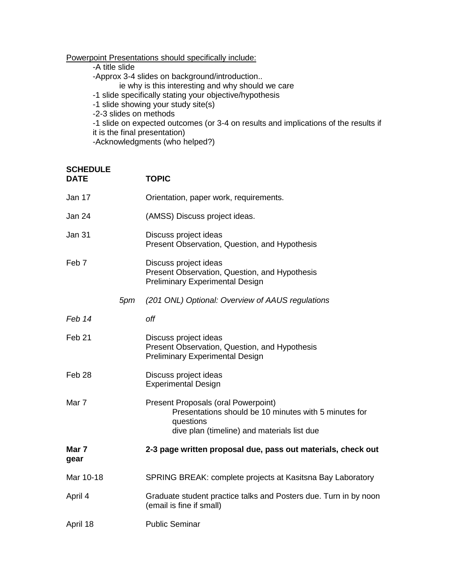# Powerpoint Presentations should specifically include:

-A title slide

-Approx 3-4 slides on background/introduction..

- ie why is this interesting and why should we care
- -1 slide specifically stating your objective/hypothesis
- -1 slide showing your study site(s)
- -2-3 slides on methods

-1 slide on expected outcomes (or 3-4 on results and implications of the results if it is the final presentation)

-Acknowledgments (who helped?)

| <b>SCHEDULE</b><br><b>DATE</b> |     | <b>TOPIC</b>                                                                                                                                             |
|--------------------------------|-----|----------------------------------------------------------------------------------------------------------------------------------------------------------|
| Jan 17                         |     | Orientation, paper work, requirements.                                                                                                                   |
| Jan 24                         |     | (AMSS) Discuss project ideas.                                                                                                                            |
| <b>Jan 31</b>                  |     | Discuss project ideas<br>Present Observation, Question, and Hypothesis                                                                                   |
| Feb <sub>7</sub>               |     | Discuss project ideas<br>Present Observation, Question, and Hypothesis<br><b>Preliminary Experimental Design</b>                                         |
|                                | 5pm | (201 ONL) Optional: Overview of AAUS regulations                                                                                                         |
| Feb 14                         |     | off                                                                                                                                                      |
| Feb <sub>21</sub>              |     | Discuss project ideas<br>Present Observation, Question, and Hypothesis<br><b>Preliminary Experimental Design</b>                                         |
| Feb <sub>28</sub>              |     | Discuss project ideas<br><b>Experimental Design</b>                                                                                                      |
| Mar 7                          |     | Present Proposals (oral Powerpoint)<br>Presentations should be 10 minutes with 5 minutes for<br>questions<br>dive plan (timeline) and materials list due |
| Mar 7<br>gear                  |     | 2-3 page written proposal due, pass out materials, check out                                                                                             |
| Mar 10-18                      |     | SPRING BREAK: complete projects at Kasitsna Bay Laboratory                                                                                               |
| April 4                        |     | Graduate student practice talks and Posters due. Turn in by noon<br>(email is fine if small)                                                             |
| April 18                       |     | <b>Public Seminar</b>                                                                                                                                    |